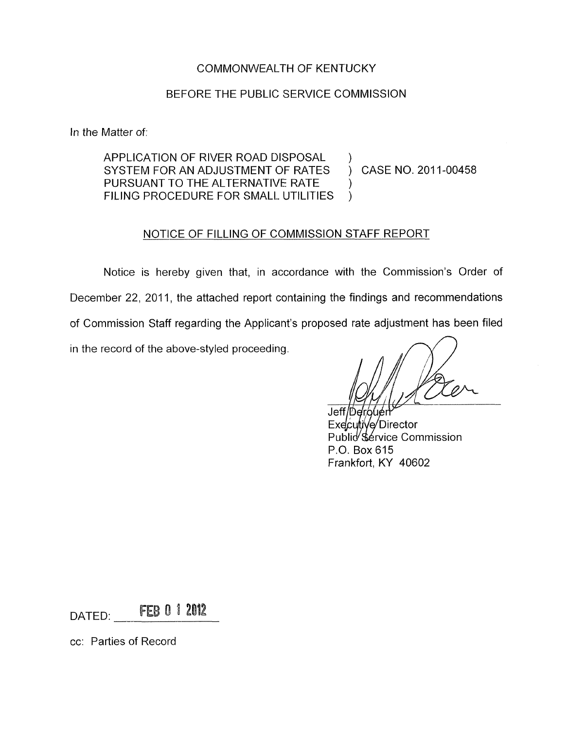## COMMONWEALTH OF KENTUCKY

## BEFORE THE PUBLIC SERVICE COMMISSION

In the Matter of:

APPLICATION OF RIVER ROAD DISPOSAL SYSTEM FOR AN ADJUSTMENT OF RATES PURSUANT TO THE ALTERNATIVE RATE FILING PROCEDURE FOR SMALL. UTILITIES

) CASE NO. 201 1-00458

 $\lambda$ 

) )

### NOTICE OF FILLING OF COMMISSION STAFF REPORT

Notice is hereby given that, in accordance with the Commission's Order of December 22, 2011, the attached report containing the findings and recommendations of Commission Staff regarding the Applicant's proposed rate adjustment has been filed in the record of the above-styled proceeding.

Jeff/Derough Executive/Director Publid Sérvice Commission P.O. Box 615 Frankfort, KY 40602

FEB 0 1 2012 DATED:

cc: Parties of Record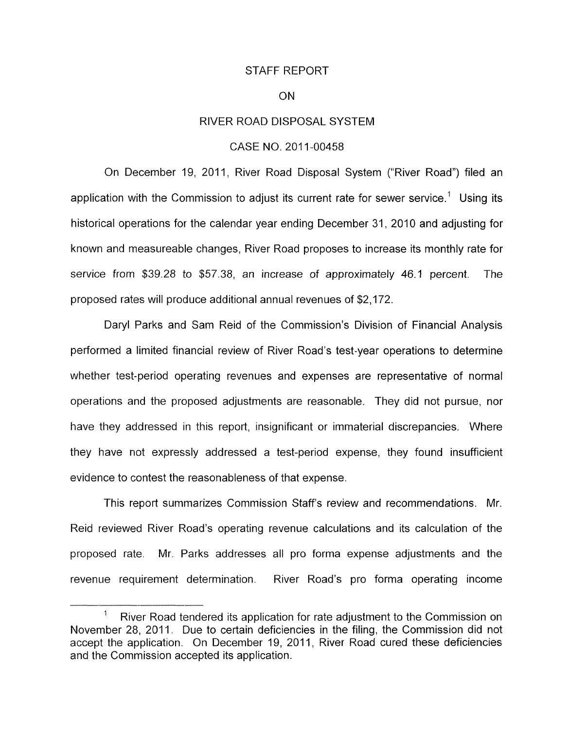#### STAFF REPORT

#### ON

#### RIVER ROAD DISPOSAL SYSTEM

#### CASE NO. 2011-00458

On December 19, 2011, River Road Disposal System ("River Road") filed an application with the Commission to adjust its current rate for sewer service.' Using its historical operations for the calendar year ending December 31, 2010 and adjusting for known and measureable changes, River Road proposes to increase its monthly rate for service from \$39.28 to \$57.38, an increase of approximately 46.1 percent. The proposed rates will produce additional annual revenues of \$2,172.

Daryl Parks and Sam Reid of the Commission's Division of Financial Analysis performed a limited financial review of River Road's test-year operations to determine whether test-period operating revenues and expenses are representative of normal operations and the proposed adjustments are reasonable. They did not pursue, nor have they addressed in this report, insignificant or immaterial discrepancies. Where they have not expressly addressed a test-period expense, they found insufficient evidence to contest the reasonableness of that expense.

This report summarizes Commission Staffs review and recommendations. Mr. Reid reviewed River Road's operating revenue calculations and its calculation of the proposed rate. Mr. Parks addresses all pro forma expense adjustments and the revenue requirement determination. River Road's pro forma operating income

<sup>&</sup>lt;sup>1</sup> River Road tendered its application for rate adjustment to the Commission on November 28, 2011. Due to certain deficiencies in the filing, the Commission did not accept the application. On December 19, 2011, River Road cured these deficiencies and the Commission accepted its application.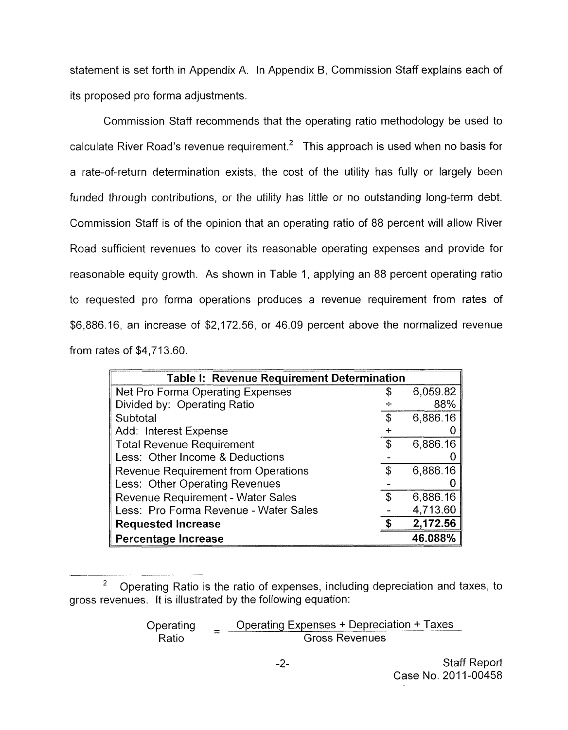statement is set forth in Appendix A. In Appendix 6, Commission Staff explains each of its proposed pro forma adjustments.

Commission Staff recommends that the operating ratio methodology be used to calculate River Road's revenue requirement.<sup>2</sup> This approach is used when no basis for a rate-of-return determination exists, the cost of the utility has fully or largely been funded through contributions, or the utility has little or no outstanding long-term debt. Commission Staff is of the opinion that an operating ratio of 88 percent will allow River Road sufficient revenues to cover its reasonable operating expenses and provide for reasonable equity growth. As shown in Table 1, applying an 88 percent operating ratio to requested pro forma operations produces a revenue requirement from rates of \$6,886.16, an increase of \$2,172.56, or 46.09 percent above the normalized revenue from rates of \$4,713.60.

| Table I: Revenue Requirement Determination |    |          |  |  |  |  |  |
|--------------------------------------------|----|----------|--|--|--|--|--|
| Net Pro Forma Operating Expenses           | S  | 6,059.82 |  |  |  |  |  |
| Divided by: Operating Ratio                |    | 88%      |  |  |  |  |  |
| Subtotal                                   |    | 6,886.16 |  |  |  |  |  |
| Add: Interest Expense                      |    |          |  |  |  |  |  |
| <b>Total Revenue Requirement</b>           |    | 6,886.16 |  |  |  |  |  |
| Less: Other Income & Deductions            |    |          |  |  |  |  |  |
| <b>Revenue Requirement from Operations</b> | \$ | 6,886.16 |  |  |  |  |  |
| Less: Other Operating Revenues             |    |          |  |  |  |  |  |
| <b>Revenue Requirement - Water Sales</b>   | \$ | 6,886.16 |  |  |  |  |  |
| Less: Pro Forma Revenue - Water Sales      |    | 4,713.60 |  |  |  |  |  |
| <b>Requested Increase</b>                  |    | 2,172.56 |  |  |  |  |  |
| Percentage Increase                        |    | 46.088%  |  |  |  |  |  |

 $\overline{c}$ Operating Ratio is the ratio of expenses, including depreciation and taxes, to gross revenues. It is illustrated by the following equation:

Operating = Operating Expenses + Depreciation + Taxes<br>Ratio Gross Revenues Gross Revenues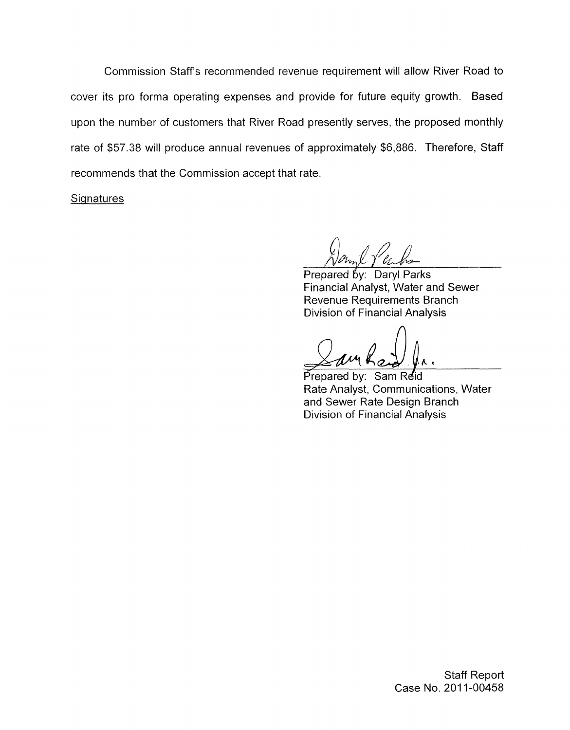Commission Staff's recommended revenue requirement will allow River Road to cover its pro forma operating expenses and provide for future equity growth. Based upon the number of customers that River Road presently serves, the proposed monthly rate of \$57.38 will produce annual revenues of approximately \$6,886. 'Therefore, Staff recommends that the Commission accept that rate.

**Signatures** 

Prepared by: Daryl Parks Financial Analyst, Water and Sewer Revenue Requirements Branch Division of Financial Analysis

Sam Reid Prepared by: Rate Analyst, Communications, Water and Sewer Rate Design Branch Division of Financial Analysis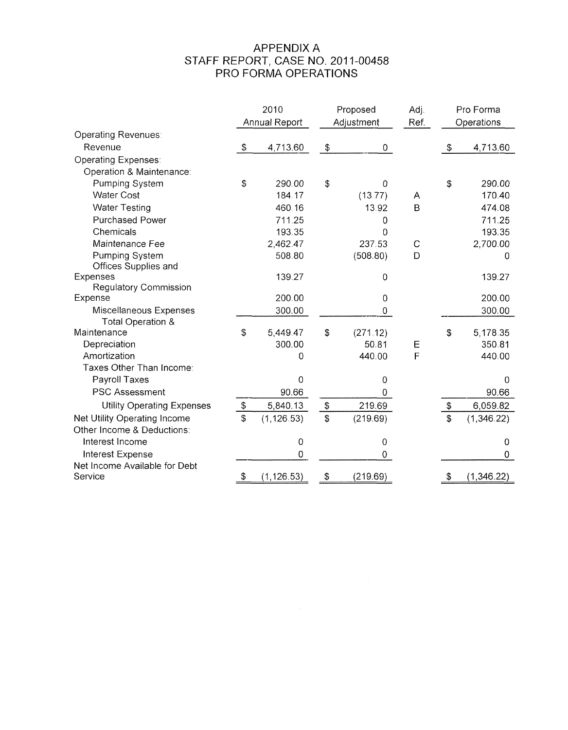# APPENDIX A PRO FORMA OPERATIONS STAFF REPORT, CASE NO. 201 1-00458

|                                             | 2010<br>Annual Report |             | Proposed<br>Adjustment |             | Adj.<br>Ref. | Pro Forma<br>Operations |             |
|---------------------------------------------|-----------------------|-------------|------------------------|-------------|--------------|-------------------------|-------------|
| Operating Revenues:                         |                       |             |                        |             |              |                         |             |
| Revenue                                     | \$                    | 4,713.60    | \$                     | 0           |              | \$                      | 4,713.60    |
| <b>Operating Expenses:</b>                  |                       |             |                        |             |              |                         |             |
| Operation & Maintenance:                    |                       |             |                        |             |              |                         |             |
| Pumping System                              | \$                    | 290.00      | \$                     | 0           |              | \$                      | 290.00      |
| <b>Water Cost</b>                           |                       | 184.17      |                        | (13.77)     | A            |                         | 170.40      |
| <b>Water Testing</b>                        |                       | 460.16      |                        | 13.92       | B            |                         | 474.08      |
| <b>Purchased Power</b>                      |                       | 711.25      |                        | 0           |              |                         | 711.25      |
| Chemicals                                   |                       | 193.35      |                        | O           |              |                         | 193.35      |
| Maintenance Fee                             |                       | 2,462.47    |                        | 237.53      | $\mathsf{C}$ |                         | 2,700.00    |
| <b>Pumping System</b>                       |                       | 508.80      |                        | (508.80)    | D            |                         | 0           |
| Offices Supplies and                        |                       |             |                        |             |              |                         |             |
| Expenses                                    |                       | 139.27      |                        | 0           |              |                         | 139.27      |
| Regulatory Commission                       |                       |             |                        |             |              |                         |             |
| Expense                                     |                       | 200.00      |                        | 0           |              |                         | 200.00      |
| Miscellaneous Expenses<br>Total Operation & |                       | 300.00      |                        | 0           |              |                         | 300.00      |
| Maintenance                                 | \$                    | 5,449.47    | \$                     | (271.12)    |              | \$                      | 5,178.35    |
| Depreciation                                |                       | 300.00      |                        | 50.81       | Е            |                         | 350.81      |
| Amortization                                |                       | 0           |                        | 440.00      | F            |                         | 440.00      |
| Taxes Other Than Income:                    |                       |             |                        |             |              |                         |             |
| Payroll Taxes                               |                       | 0           |                        | 0           |              |                         | 0           |
| <b>PSC Assessment</b>                       |                       | 90.66       |                        | 0           |              |                         | 90.66       |
| <b>Utility Operating Expenses</b>           | $\, \, \$$            | 5,840.13    | $\mathbb{S}$           | 219.69      |              | $\mathbb{S}$            | 6,059.82    |
| Net Utility Operating Income                | \$                    | (1, 126.53) | $\mathbb{S}$           | (219.69)    |              | \$                      | (1,346.22)  |
| Other Income & Deductions:                  |                       |             |                        |             |              |                         |             |
| Interest Income                             |                       | $\mathbf 0$ |                        | $\mathbf 0$ |              |                         | 0           |
| <b>Interest Expense</b>                     |                       | 0           |                        | 0           |              |                         | 0           |
| Net Income Available for Debt               |                       |             |                        |             |              |                         |             |
| Service                                     | $\mathcal{L}$         | (1, 126.53) | \$                     | (219.69)    |              | S                       | (1, 346.22) |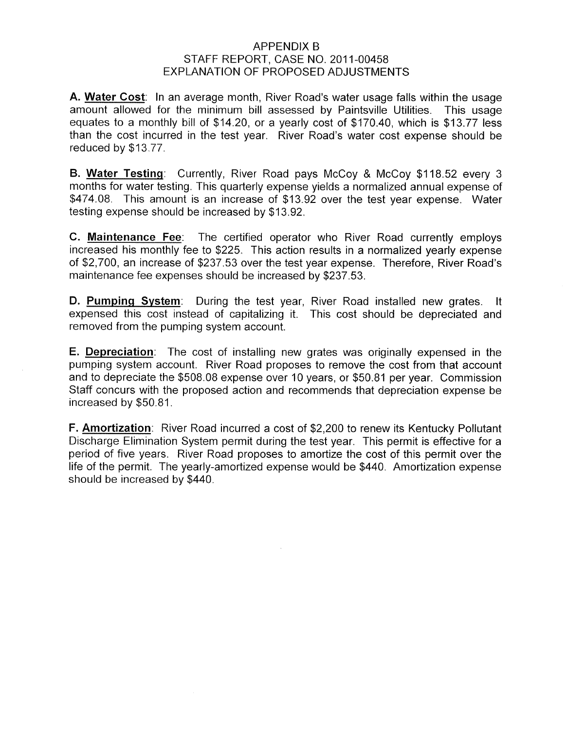## **APPENDIX B** EXPLANATION OF PROPOSED ADJUSTMENTS STAFF REPORT, CASE NO. 2011-00458

**A. Water Cost:** In an average month, River Road's water usage falls within the usage amount allowed for the minimum bill assessed by Paintsville Utilities. This usage equates to a monthly bill of \$14.20, or a yearly cost of \$170.40, which is \$13.77 less than the cost incurred in the test year. River Road's water cost expense should be reduced by \$13.77.

**B. Water Testing:** Currently, River Road pays McCoy & McCoy \$1 18.52 every 3 months for water testing. This quarterly expense yields a normalized annual expense of \$474.08. This amount is an increase of \$13.92 over the test year expense. Water testing expense should be increased by \$13.92.

**C. Maintenance Fee:** The certified operator who River Road currently employs increased his monthly fee to \$225. This action results in a normalized yearly expense of \$2,700, an increase of \$237.53 over the test year expense. Therefore, River Road's maintenance fee expenses should be increased by \$237.53.

**D. <u>Pumping System</u>: During the test year, River Road installed new grates. It** expensed this cost instead of capitalizing it. This cost should be depreciated and removed from the pumping system account.

**E. Depreciation:** The cost of installing new grates was originally expensed in the pumping system account. River Road proposes to remove the cost from that account and to depreciate the \$508.08 expense over 10 years, or \$50.81 per year. Commission Staff concurs with the proposed action and recommends that depreciation expense be increased by \$50.81.

**F. Amortization:** River Road incurred a cost of \$2,200 to renew its Kentucky Pollutant Discharge Elimination System permit during the test year. This permit is effective for a period of five years. River Road proposes to amortize the cost of this permit over the life of the permit. The yearly-amortized expense would be \$440. Amortization expense should be increased by \$440.